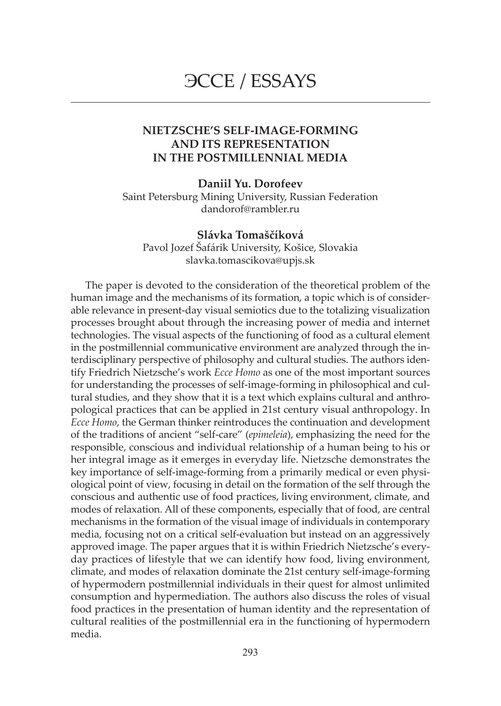# ЭССЕ / ESSAYS

## **NIETZSCHE'S SELF-IMAGE-FORMING AND ITS REPRESENTATION IN THE POSTMILLENNIAL MEDIA**

### **Daniil Yu. Dorofeev**

Saint Petersburg Mining University, Russian Federation dandorof@rambler.ru

**Slávka Tomaščíková** Pavol Jozef Šafárik University, Košice, Slovakia slavka.tomascikova@upjs.sk

The paper is devoted to the consideration of the theoretical problem of the human image and the mechanisms of its formation, a topic which is of considerable relevance in present-day visual semiotics due to the totalizing visualization processes brought about through the increasing power of media and internet technologies. The visual aspects of the functioning of food as a cultural element in the postmillennial communicative environment are analyzed through the interdisciplinary perspective of philosophy and cultural studies. The authors identify Friedrich Nietzsche's work *Ecce Homo* as one of the most important sources for understanding the processes of self-image-forming in philosophical and cultural studies, and they show that it is a text which explains cultural and anthropological practices that can be applied in 21st century visual anthropology. In *Ecce Homo*, the German thinker reintroduces the continuation and development of the traditions of ancient "self-care" (*epimeleia*), emphasizing the need for the responsible, conscious and individual relationship of a human being to his or her integral image as it emerges in everyday life. Nietzsche demonstrates the key importance of self-image-forming from a primarily medical or even physiological point of view, focusing in detail on the formation of the self through the conscious and authentic use of food practices, living environment, climate, and modes of relaxation. All of these components, especially that of food, are central mechanisms in the formation of the visual image of individuals in contemporary media, focusing not on a critical self-evaluation but instead on an aggressively approved image. The paper argues that it is within Friedrich Nietzsche's everyday practices of lifestyle that we can identify how food, living environment, climate, and modes of relaxation dominate the 21st century self-image-forming of hypermodern postmillennial individuals in their quest for almost unlimited consumption and hypermediation. The authors also discuss the roles of visual food practices in the presentation of human identity and the representation of cultural realities of the postmillennial era in the functioning of hypermodern media.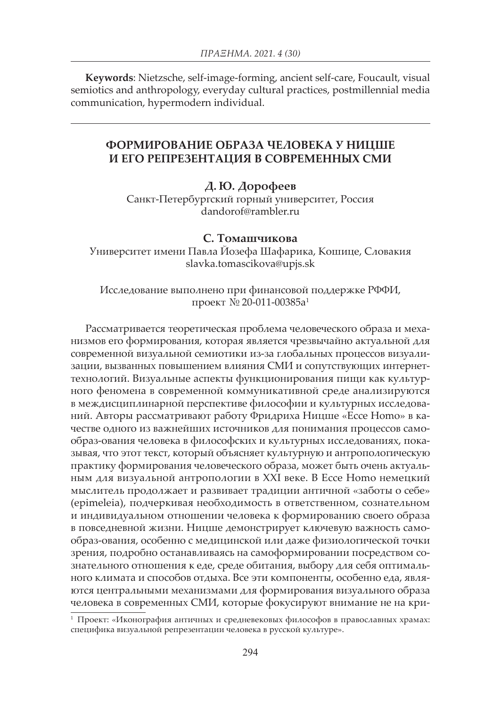**Keywords**: Nietzsche, self-image-forming, ancient self-care, Foucault, visual semiotics and anthropology, everyday cultural practices, postmillennial media communication, hypermodern individual.

## **ФОРМИРОВАНИЕ ОБРАЗА ЧЕЛОВЕКА У НИЦШЕ И ЕГО РЕПРЕЗЕНТАЦИЯ В СОВРЕМЕННЫХ СМИ**

## **Д. Ю. Дорофеев**

Санкт-Петербургский горный университет, Россия dandorof@rambler.ru

## **С. Томашчикова**

Университет имени Павла Йозефа Шафарика, Кошице, Словакия slavka.tomascikova@upjs.sk

Исследование выполнено при финансовой поддержке РФФИ, проект № 20-011-00385а<sup>1</sup>

Рассматривается теоретическая проблема человеческого образа и механизмов его формирования, которая является чрезвычайно актуальной для современной визуальной семиотики из-за глобальных процессов визуализации, вызванных повышением влияния СМИ и сопутствующих интернеттехнологий. Визуальные аспекты функционирования пищи как культурного феномена в современной коммуникативной среде анализируются в междисциплинарной перспективе философии и культурных исследований. Авторы рассматривают работу Фридриха Ницше «Ecce Homo» в качестве одного из важнейших источников для понимания процессов самообраз-ования человека в философских и культурных исследованиях, показывая, что этот текст, который объясняет культурную и антропологическую практику формирования человеческого образа, может быть очень актуальным для визуальной антропологии в XXI веке. В Ecce Homo немецкий мыслитель продолжает и развивает традиции античной «заботы о себе» (epimeleia), подчеркивая необходимость в ответственном, сознательном и индивидуальном отношении человека к формированию своего образа в повседневной жизни. Ницше демонстрирует ключевую важность самообраз-ования, особенно с медицинской или даже физиологической точки зрения, подробно останавливаясь на самоформировании посредством сознательного отношения к еде, среде обитания, выбору для себя оптимального климата и способов отдыха. Все эти компоненты, особенно еда, являются центральными механизмами для формирования визуального образа человека в современных СМИ, которые фокусируют внимание не на кри-

<sup>1</sup> Проект: «Иконография античных и средневековых философов в православных храмах: специфика визуальной репрезентации человека в русской культуре».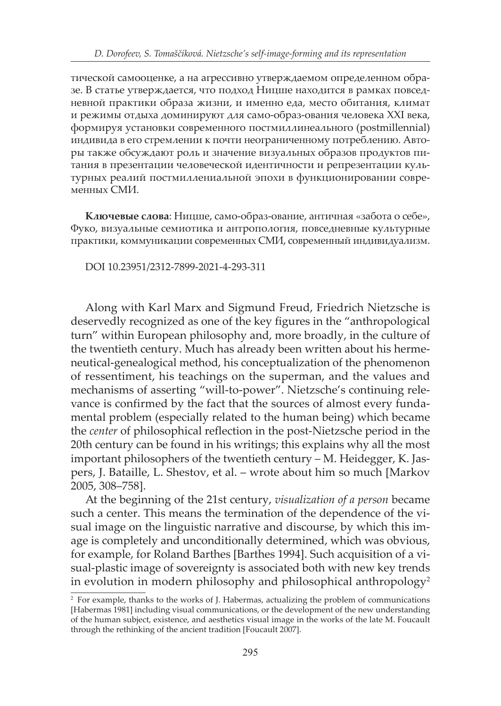тической самооценке, а на агрессивно утверждаемом определенном образе. В статье утверждается, что подход Ницше находится в рамках повседневной практики образа жизни, и именно еда, место обитания, климат и режимы отдыха доминируют для само-образ-ования человека XXI века, формируя установки современного постмиллинеального (postmillennial) индивида в его стремлении к почти неограниченному потреблению. Авторы также обсуждают роль и значение визуальных образов продуктов питания в презентации человеческой идентичности и репрезентации культурных реалий постмиллениальной эпохи в функционировании современных СМИ.

**Ключевые слова**: Ницше, само-образ-ование, античная «забота о себе», Фуко, визуальные семиотика и антропология, повседневные культурные практики, коммуникации современных СМИ, современный индивидуализм.

DOI 10.23951/2312-7899-2021-4-293-311

Along with Karl Marx and Sigmund Freud, Friedrich Nietzsche is deservedly recognized as one of the key figures in the "anthropological turn" within European philosophy and, more broadly, in the culture of the twentieth century. Much has already been written about his hermeneutical-genealogical method, his conceptualization of the phenomenon of ressentiment, his teachings on the superman, and the values and mechanisms of asserting "will-to-power". Nietzsche's continuing relevance is confirmed by the fact that the sources of almost every fundamental problem (especially related to the human being) which became the *center* of philosophical reflection in the post-Nietzsche period in the 20th century can be found in his writings; this explains why all the most important philosophers of the twentieth century – M. Heidegger, K. Jaspers, J. Bataille, L. Shestov, et al. – wrote about him so much [Markov 2005, 308–758].

At the beginning of the 21st century, *visualization of a person* became such a center. This means the termination of the dependence of the visual image on the linguistic narrative and discourse, by which this image is completely and unconditionally determined, which was obvious, for example, for Roland Barthes [Barthes 1994]. Such acquisition of a visual-plastic image of sovereignty is associated both with new key trends in evolution in modern philosophy and philosophical anthropology<sup>2</sup>

<sup>&</sup>lt;sup>2</sup> For example, thanks to the works of J. Habermas, actualizing the problem of communications [Habermas 1981] including visual communications, or the development of the new understanding of the human subject, existence, and aesthetics visual image in the works of the late M. Foucault through the rethinking of the ancient tradition [Foucault 2007].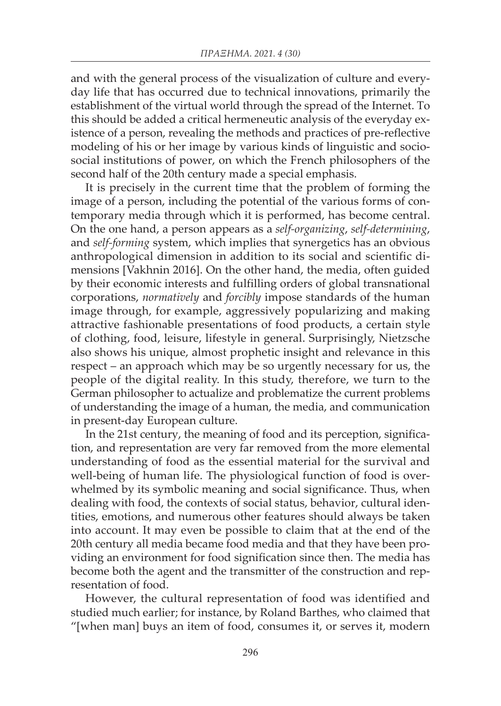and with the general process of the visualization of culture and everyday life that has occurred due to technical innovations, primarily the establishment of the virtual world through the spread of the Internet. To this should be added a critical hermeneutic analysis of the everyday existence of a person, revealing the methods and practices of pre-reflective modeling of his or her image by various kinds of linguistic and sociosocial institutions of power, on which the French philosophers of the second half of the 20th century made a special emphasis.

It is precisely in the current time that the problem of forming the image of a person, including the potential of the various forms of contemporary media through which it is performed, has become central. On the one hand, a person appears as a *self-organizing*, *self-determining*, and *self-forming* system, which implies that synergetics has an obvious anthropological dimension in addition to its social and scientific dimensions [Vakhnin 2016]. On the other hand, the media, often guided by their economic interests and fulfilling orders of global transnational corporations, *normatively* and *forcibly* impose standards of the human image through, for example, aggressively popularizing and making attractive fashionable presentations of food products, a certain style of clothing, food, leisure, lifestyle in general. Surprisingly, Nietzsche also shows his unique, almost prophetic insight and relevance in this respect – an approach which may be so urgently necessary for us, the people of the digital reality. In this study, therefore, we turn to the German philosopher to actualize and problematize the current problems of understanding the image of a human, the media, and communication in present-day European culture.

In the 21st century, the meaning of food and its perception, signification, and representation are very far removed from the more elemental understanding of food as the essential material for the survival and well-being of human life. The physiological function of food is overwhelmed by its symbolic meaning and social significance. Thus, when dealing with food, the contexts of social status, behavior, cultural identities, emotions, and numerous other features should always be taken into account. It may even be possible to claim that at the end of the 20th century all media became food media and that they have been providing an environment for food signification since then. The media has become both the agent and the transmitter of the construction and representation of food.

However, the cultural representation of food was identified and studied much earlier; for instance, by Roland Barthes, who claimed that "[when man] buys an item of food, consumes it, or serves it, modern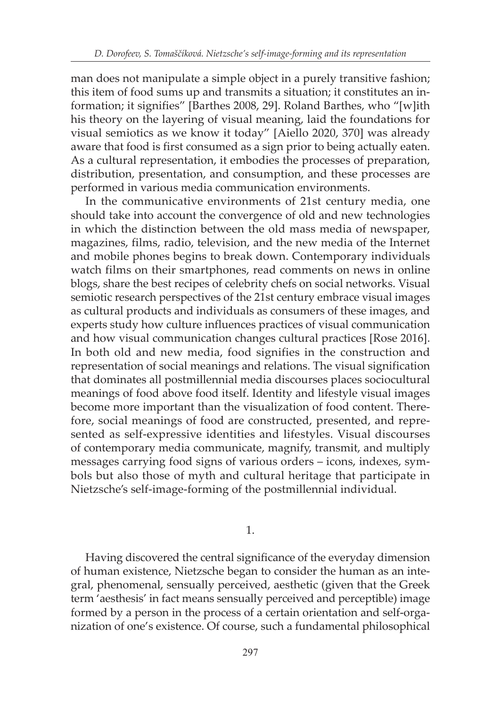man does not manipulate a simple object in a purely transitive fashion; this item of food sums up and transmits a situation; it constitutes an information; it signifies" [Barthes 2008, 29]. Roland Barthes, who "[w]ith his theory on the layering of visual meaning, laid the foundations for visual semiotics as we know it today" [Aiello 2020, 370] was already aware that food is first consumed as a sign prior to being actually eaten. As a cultural representation, it embodies the processes of preparation, distribution, presentation, and consumption, and these processes are performed in various media communication environments.

In the communicative environments of 21st century media, one should take into account the convergence of old and new technologies in which the distinction between the old mass media of newspaper, magazines, films, radio, television, and the new media of the Internet and mobile phones begins to break down. Contemporary individuals watch films on their smartphones, read comments on news in online blogs, share the best recipes of celebrity chefs on social networks. Visual semiotic research perspectives of the 21st century embrace visual images as cultural products and individuals as consumers of these images, and experts study how culture influences practices of visual communication and how visual communication changes cultural practices [Rose 2016]. In both old and new media, food signifies in the construction and representation of social meanings and relations. The visual signification that dominates all postmillennial media discourses places sociocultural meanings of food above food itself. Identity and lifestyle visual images become more important than the visualization of food content. Therefore, social meanings of food are constructed, presented, and represented as self-expressive identities and lifestyles. Visual discourses of contemporary media communicate, magnify, transmit, and multiply messages carrying food signs of various orders – icons, indexes, symbols but also those of myth and cultural heritage that participate in Nietzsche's self-image-forming of the postmillennial individual.

1.

Having discovered the central significance of the everyday dimension of human existence, Nietzsche began to consider the human as an integral, phenomenal, sensually perceived, aesthetic (given that the Greek term 'aesthesis' in fact means sensually perceived and perceptible) image formed by a person in the process of a certain orientation and self-organization of one's existence. Of course, such a fundamental philosophical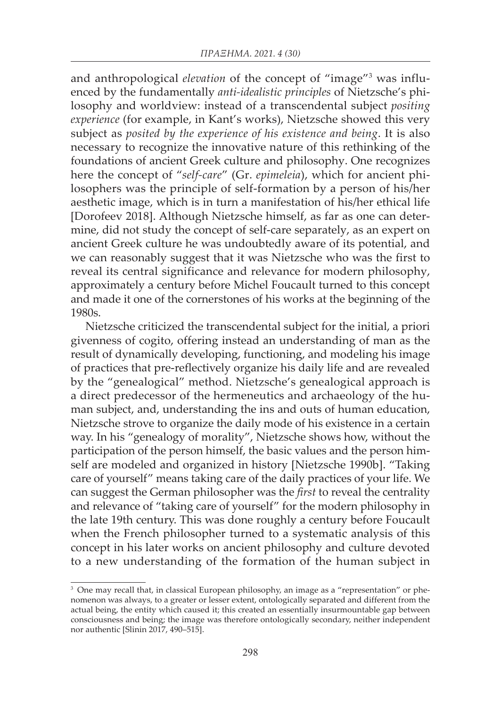and anthropological *elevation* of the concept of "image"3 was influenced by the fundamentally *anti-idealistic principles* of Nietzsche's philosophy and worldview: instead of a transcendental subject *positing experience* (for example, in Kant's works), Nietzsche showed this very subject as *posited by the experience of his existence and being*. It is also necessary to recognize the innovative nature of this rethinking of the foundations of ancient Greek culture and philosophy. One recognizes here the concept of "*self-care*" (Gr. *epimeleia*), which for ancient philosophers was the principle of self-formation by a person of his/her aesthetic image, which is in turn a manifestation of his/her ethical life [Dorofeev 2018]. Although Nietzsche himself, as far as one can determine, did not study the concept of self-care separately, as an expert on ancient Greek culture he was undoubtedly aware of its potential, and we can reasonably suggest that it was Nietzsche who was the first to reveal its central significance and relevance for modern philosophy, approximately a century before Michel Foucault turned to this concept and made it one of the cornerstones of his works at the beginning of the 1980s.

Nietzsche criticized the transcendental subject for the initial, a priori givenness of cogito, offering instead an understanding of man as the result of dynamically developing, functioning, and modeling his image of practices that pre-reflectively organize his daily life and are revealed by the "genealogical" method. Nietzsche's genealogical approach is a direct predecessor of the hermeneutics and archaeology of the human subject, and, understanding the ins and outs of human education, Nietzsche strove to organize the daily mode of his existence in a certain way. In his "genealogy of morality", Nietzsche shows how, without the participation of the person himself, the basic values and the person himself are modeled and organized in history [Nietzsche 1990b]. "Taking care of yourself" means taking care of the daily practices of your life. We can suggest the German philosopher was the *first* to reveal the centrality and relevance of "taking care of yourself" for the modern philosophy in the late 19th century. This was done roughly a century before Foucault when the French philosopher turned to a systematic analysis of this concept in his later works on ancient philosophy and culture devoted to a new understanding of the formation of the human subject in

<sup>&</sup>lt;sup>3</sup> One may recall that, in classical European philosophy, an image as a "representation" or phenomenon was always, to a greater or lesser extent, ontologically separated and different from the actual being, the entity which caused it; this created an essentially insurmountable gap between consciousness and being; the image was therefore ontologically secondary, neither independent nor authentic [Slinin 2017, 490–515].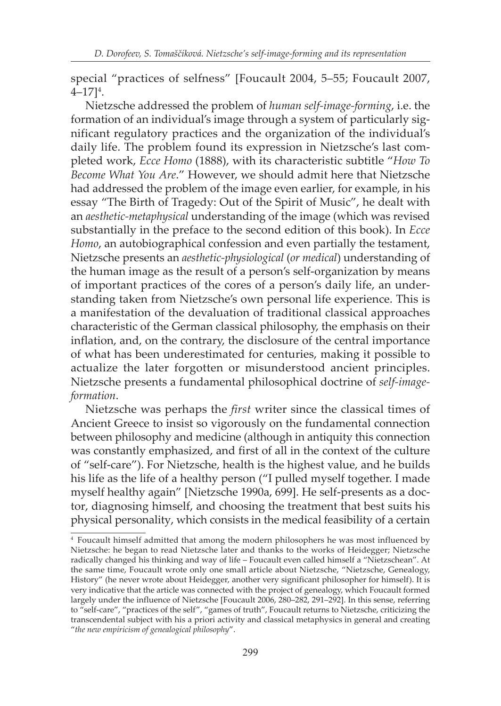special "practices of selfness" [Foucault 2004, 5–55; Foucault 2007,  $4 - 17$ ]<sup>4</sup>.

Nietzsche addressed the problem of *human self-image-forming*, i.e. the formation of an individual's image through a system of particularly significant regulatory practices and the organization of the individual's daily life. The problem found its expression in Nietzsche's last completed work, *Ecce Homo* (1888), with its characteristic subtitle "*How To Become What You Are*." However, we should admit here that Nietzsche had addressed the problem of the image even earlier, for example, in his essay "The Birth of Tragedy: Out of the Spirit of Music", he dealt with an *aesthetic-metaphysical* understanding of the image (which was revised substantially in the preface to the second edition of this book). In *Ecce Homo*, an autobiographical confession and even partially the testament, Nietzsche presents an *aesthetic-physiological* (*or medical*) understanding of the human image as the result of a person's self-organization by means of important practices of the cores of a person's daily life, an understanding taken from Nietzsche's own personal life experience. This is a manifestation of the devaluation of traditional classical approaches characteristic of the German classical philosophy, the emphasis on their inflation, and, on the contrary, the disclosure of the central importance of what has been underestimated for centuries, making it possible to actualize the later forgotten or misunderstood ancient principles. Nietzsche presents a fundamental philosophical doctrine of *self-imageformation*.

Nietzsche was perhaps the *first* writer since the classical times of Ancient Greece to insist so vigorously on the fundamental connection between philosophy and medicine (although in antiquity this connection was constantly emphasized, and first of all in the context of the culture of "self-care"). For Nietzsche, health is the highest value, and he builds his life as the life of a healthy person ("I pulled myself together. I made myself healthy again" [Nietzsche 1990a, 699]. He self-presents as a doctor, diagnosing himself, and choosing the treatment that best suits his physical personality, which consists in the medical feasibility of a certain

<sup>4</sup> Foucault himself admitted that among the modern philosophers he was most influenced by Nietzsche: he began to read Nietzsche later and thanks to the works of Heidegger; Nietzsche radically changed his thinking and way of life – Foucault even called himself a "Nietzschean". At the same time, Foucault wrote only one small article about Nietzsche, "Nietzsche, Genealogy, History" (he never wrote about Heidegger, another very significant philosopher for himself). It is very indicative that the article was connected with the project of genealogy, which Foucault formed largely under the influence of Nietzsche [Foucault 2006, 280–282, 291–292]. In this sense, referring to "self-care", "practices of the self", "games of truth", Foucault returns to Nietzsche, criticizing the transcendental subject with his a priori activity and classical metaphysics in general and creating "*the new empiricism of genealogical philosophy*".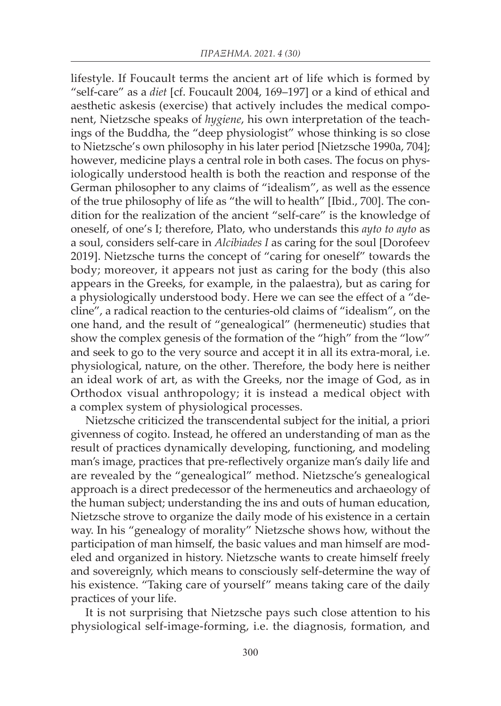lifestyle. If Foucault terms the ancient art of life which is formed by "self-care" as a *diet* [cf. Foucault 2004, 169–197] or a kind of ethical and aesthetic askesis (exercise) that actively includes the medical component, Nietzsche speaks of *hygiene*, his own interpretation of the teachings of the Buddha, the "deep physiologist" whose thinking is so close to Nietzsche's own philosophy in his later period [Nietzsche 1990a, 704]; however, medicine plays a central role in both cases. The focus on physiologically understood health is both the reaction and response of the German philosopher to any claims of "idealism", as well as the essence of the true philosophy of life as "the will to health" [Ibid., 700]. The condition for the realization of the ancient "self-care" is the knowledge of oneself, of one's I; therefore, Plato, who understands this *ayto to ayto* as a soul, considers self-care in *Alcibiades I* as caring for the soul [Dorofeev 2019]. Nietzsche turns the concept of "caring for oneself" towards the body; moreover, it appears not just as caring for the body (this also appears in the Greeks, for example, in the palaestra), but as caring for a physiologically understood body. Here we can see the effect of a "decline", a radical reaction to the centuries-old claims of "idealism", on the one hand, and the result of "genealogical" (hermeneutic) studies that show the complex genesis of the formation of the "high" from the "low" and seek to go to the very source and accept it in all its extra-moral, i.e. physiological, nature, on the other. Therefore, the body here is neither an ideal work of art, as with the Greeks, nor the image of God, as in Orthodox visual anthropology; it is instead a medical object with a complex system of physiological processes.

Nietzsche criticized the transcendental subject for the initial, a priori givenness of cogito. Instead, he offered an understanding of man as the result of practices dynamically developing, functioning, and modeling man's image, practices that pre-reflectively organize man's daily life and are revealed by the "genealogical" method. Nietzsche's genealogical approach is a direct predecessor of the hermeneutics and archaeology of the human subject; understanding the ins and outs of human education, Nietzsche strove to organize the daily mode of his existence in a certain way. In his "genealogy of morality" Nietzsche shows how, without the participation of man himself, the basic values and man himself are modeled and organized in history. Nietzsche wants to create himself freely and sovereignly, which means to consciously self-determine the way of his existence. "Taking care of yourself" means taking care of the daily practices of your life.

It is not surprising that Nietzsche pays such close attention to his physiological self-image-forming, i.e. the diagnosis, formation, and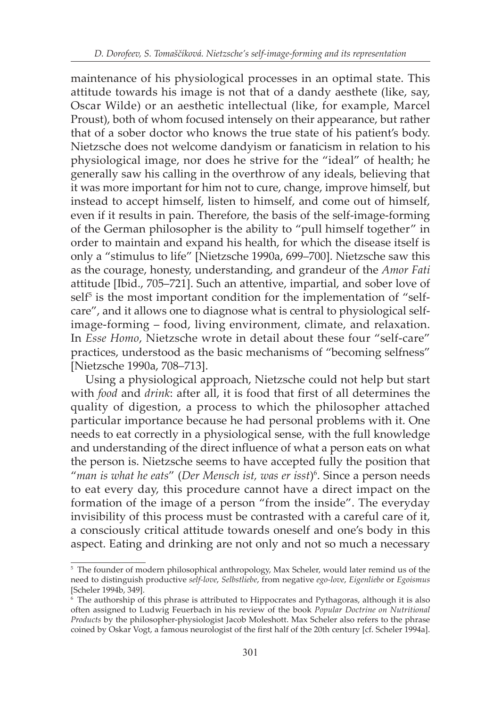maintenance of his physiological processes in an optimal state. This attitude towards his image is not that of a dandy aesthete (like, say, Oscar Wilde) or an aesthetic intellectual (like, for example, Marcel Proust), both of whom focused intensely on their appearance, but rather that of a sober doctor who knows the true state of his patient's body. Nietzsche does not welcome dandyism or fanaticism in relation to his physiological image, nor does he strive for the "ideal" of health; he generally saw his calling in the overthrow of any ideals, believing that it was more important for him not to cure, change, improve himself, but instead to accept himself, listen to himself, and come out of himself, even if it results in pain. Therefore, the basis of the self-image-forming of the German philosopher is the ability to "pull himself together" in order to maintain and expand his health, for which the disease itself is only a "stimulus to life" [Nietzsche 1990a, 699–700]. Nietzsche saw this as the courage, honesty, understanding, and grandeur of the *Amor Fati* attitude [Ibid., 705–721]. Such an attentive, impartial, and sober love of  $self<sup>5</sup>$  is the most important condition for the implementation of "selfcare", and it allows one to diagnose what is central to physiological selfimage-forming – food, living environment, climate, and relaxation. In *Esse Homo*, Nietzsche wrote in detail about these four "self-care" practices, understood as the basic mechanisms of "becoming selfness" [Nietzsche 1990a, 708–713].

Using a physiological approach, Nietzsche could not help but start with *food* and *drink*: after all, it is food that first of all determines the quality of digestion, a process to which the philosopher attached particular importance because he had personal problems with it. One needs to eat correctly in a physiological sense, with the full knowledge and understanding of the direct influence of what a person eats on what the person is. Nietzsche seems to have accepted fully the position that "*man is what he eats*" (*Der Mensch ist, was er isst*)6 . Since a person needs to eat every day, this procedure cannot have a direct impact on the formation of the image of a person "from the inside". The everyday invisibility of this process must be contrasted with a careful care of it, a consciously critical attitude towards oneself and one's body in this aspect. Eating and drinking are not only and not so much a necessary

<sup>&</sup>lt;sup>5</sup> The founder of modern philosophical anthropology, Max Scheler, would later remind us of the need to distinguish productive *self-love*, *Selbstliebe*, from negative *ego-love*, *Eigenliebe* or *Egoismus* [Scheler 1994b, 349].

<sup>6</sup> The authorship of this phrase is attributed to Hippocrates and Pythagoras, although it is also often assigned to Ludwig Feuerbach in his review of the book *Popular Doctrine on Nutritional Products* by the philosopher-physiologist Jacob Moleshott. Max Scheler also refers to the phrase coined by Oskar Vogt, a famous neurologist of the first half of the 20th century [cf. Scheler 1994a].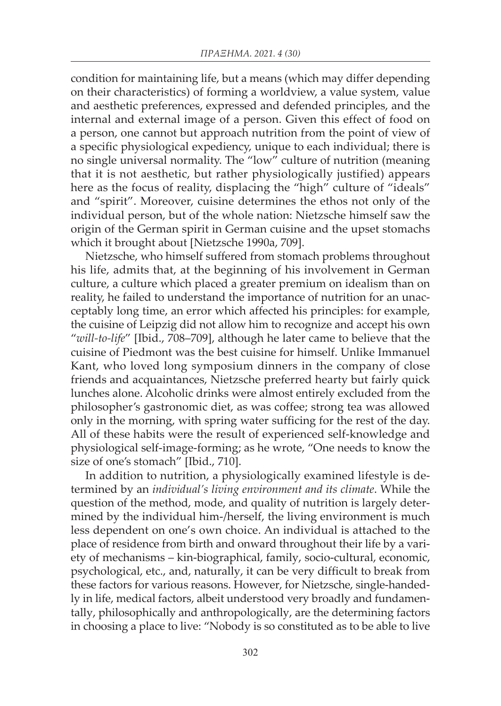condition for maintaining life, but a means (which may differ depending on their characteristics) of forming a worldview, a value system, value and aesthetic preferences, expressed and defended principles, and the internal and external image of a person. Given this effect of food on a person, one cannot but approach nutrition from the point of view of a specific physiological expediency, unique to each individual; there is no single universal normality. The "low" culture of nutrition (meaning that it is not aesthetic, but rather physiologically justified) appears here as the focus of reality, displacing the "high" culture of "ideals" and "spirit". Moreover, cuisine determines the ethos not only of the individual person, but of the whole nation: Nietzsche himself saw the origin of the German spirit in German cuisine and the upset stomachs which it brought about [Nietzsche 1990a, 709].

Nietzsche, who himself suffered from stomach problems throughout his life, admits that, at the beginning of his involvement in German culture, a culture which placed a greater premium on idealism than on reality, he failed to understand the importance of nutrition for an unacceptably long time, an error which affected his principles: for example, the cuisine of Leipzig did not allow him to recognize and accept his own "*will-to-life*" [Ibid., 708–709], although he later came to believe that the cuisine of Piedmont was the best cuisine for himself. Unlike Immanuel Kant, who loved long symposium dinners in the company of close friends and acquaintances, Nietzsche preferred hearty but fairly quick lunches alone. Alcoholic drinks were almost entirely excluded from the philosopher's gastronomic diet, as was coffee; strong tea was allowed only in the morning, with spring water sufficing for the rest of the day. All of these habits were the result of experienced self-knowledge and physiological self-image-forming; as he wrote, "One needs to know the size of one's stomach" [Ibid., 710].

In addition to nutrition, a physiologically examined lifestyle is determined by an *individual's living environment and its climate*. While the question of the method, mode, and quality of nutrition is largely determined by the individual him-/herself, the living environment is much less dependent on one's own choice. An individual is attached to the place of residence from birth and onward throughout their life by a variety of mechanisms – kin-biographical, family, socio-cultural, economic, psychological, etc., and, naturally, it can be very difficult to break from these factors for various reasons. However, for Nietzsche, single-handedly in life, medical factors, albeit understood very broadly and fundamentally, philosophically and anthropologically, are the determining factors in choosing a place to live: "Nobody is so constituted as to be able to live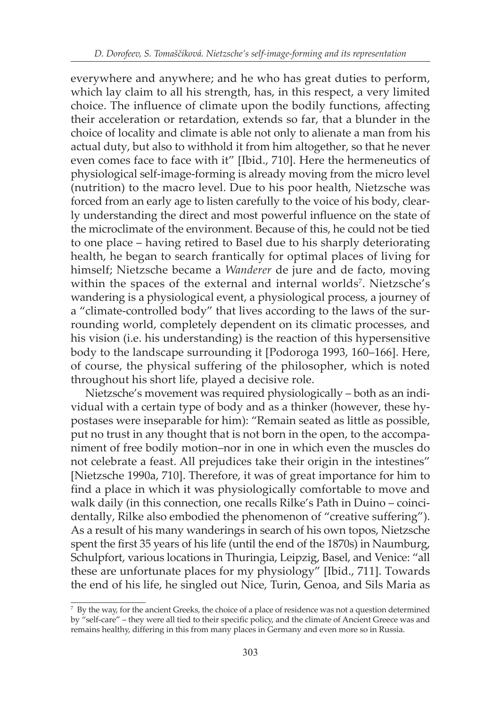everywhere and anywhere; and he who has great duties to perform, which lay claim to all his strength, has, in this respect, a very limited choice. The influence of climate upon the bodily functions, affecting their acceleration or retardation, extends so far, that a blunder in the choice of locality and climate is able not only to alienate a man from his actual duty, but also to withhold it from him altogether, so that he never even comes face to face with it" [Ibid., 710]. Here the hermeneutics of physiological self-image-forming is already moving from the micro level (nutrition) to the macro level. Due to his poor health, Nietzsche was forced from an early age to listen carefully to the voice of his body, clearly understanding the direct and most powerful influence on the state of the microclimate of the environment. Because of this, he could not be tied to one place – having retired to Basel due to his sharply deteriorating health, he began to search frantically for optimal places of living for himself; Nietzsche became a *Wanderer* de jure and de facto, moving within the spaces of the external and internal worlds<sup>7</sup>. Nietzsche's wandering is a physiological event, a physiological process, a journey of a "climate-controlled body" that lives according to the laws of the surrounding world, completely dependent on its climatic processes, and his vision (i.e. his understanding) is the reaction of this hypersensitive body to the landscape surrounding it [Podoroga 1993, 160–166]. Here, of course, the physical suffering of the philosopher, which is noted throughout his short life, played a decisive role.

Nietzsche's movement was required physiologically – both as an individual with a certain type of body and as a thinker (however, these hypostases were inseparable for him): "Remain seated as little as possible, put no trust in any thought that is not born in the open, to the accompaniment of free bodily motion–nor in one in which even the muscles do not celebrate a feast. All prejudices take their origin in the intestines" [Nietzsche 1990a, 710]. Therefore, it was of great importance for him to find a place in which it was physiologically comfortable to move and walk daily (in this connection, one recalls Rilke's Path in Duino – coincidentally, Rilke also embodied the phenomenon of "creative suffering"). As a result of his many wanderings in search of his own topos, Nietzsche spent the first 35 years of his life (until the end of the 1870s) in Naumburg, Schulpfort, various locations in Thuringia, Leipzig, Basel, and Venice: "all these are unfortunate places for my physiology" [Ibid., 711]. Towards the end of his life, he singled out Nice, Turin, Genoa, and Sils Maria as

 $7$  By the way, for the ancient Greeks, the choice of a place of residence was not a question determined by "self-care" – they were all tied to their specific policy, and the climate of Ancient Greece was and remains healthy, differing in this from many places in Germany and even more so in Russia.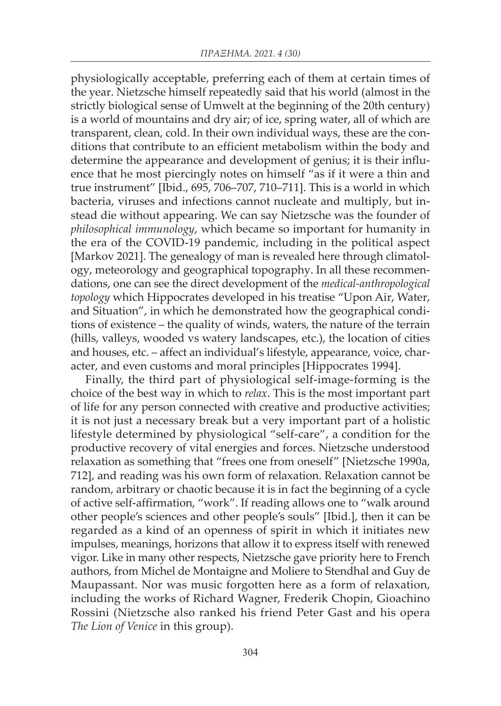physiologically acceptable, preferring each of them at certain times of the year. Nietzsche himself repeatedly said that his world (almost in the strictly biological sense of Umwelt at the beginning of the 20th century) is a world of mountains and dry air; of ice, spring water, all of which are transparent, clean, cold. In their own individual ways, these are the conditions that contribute to an efficient metabolism within the body and determine the appearance and development of genius; it is their influence that he most piercingly notes on himself "as if it were a thin and true instrument" [Ibid., 695, 706–707, 710–711]. This is a world in which bacteria, viruses and infections cannot nucleate and multiply, but instead die without appearing. We can say Nietzsche was the founder of *philosophical immunology*, which became so important for humanity in the era of the COVID-19 pandemic, including in the political aspect [Markov 2021]. The genealogy of man is revealed here through climatology, meteorology and geographical topography. In all these recommendations, one can see the direct development of the *medical-anthropological topology* which Hippocrates developed in his treatise "Upon Air, Water, and Situation", in which he demonstrated how the geographical conditions of existence – the quality of winds, waters, the nature of the terrain (hills, valleys, wooded vs watery landscapes, etc.), the location of cities and houses, etc. – affect an individual's lifestyle, appearance, voice, character, and even customs and moral principles [Hippocrates 1994].

Finally, the third part of physiological self-image-forming is the choice of the best way in which to *relax*. This is the most important part of life for any person connected with creative and productive activities; it is not just a necessary break but a very important part of a holistic lifestyle determined by physiological "self-care", a condition for the productive recovery of vital energies and forces. Nietzsche understood relaxation as something that "frees one from oneself" [Nietzsche 1990a, 712], and reading was his own form of relaxation. Relaxation cannot be random, arbitrary or chaotic because it is in fact the beginning of a cycle of active self-affirmation, "work". If reading allows one to "walk around other people's sciences and other people's souls" [Ibid.], then it can be regarded as a kind of an openness of spirit in which it initiates new impulses, meanings, horizons that allow it to express itself with renewed vigor. Like in many other respects, Nietzsche gave priority here to French authors, from Michel de Montaigne and Moliere to Stendhal and Guy de Maupassant. Nor was music forgotten here as a form of relaxation, including the works of Richard Wagner, Frederik Chopin, Gioachino Rossini (Nietzsche also ranked his friend Peter Gast and his opera *The Lion of Venice* in this group).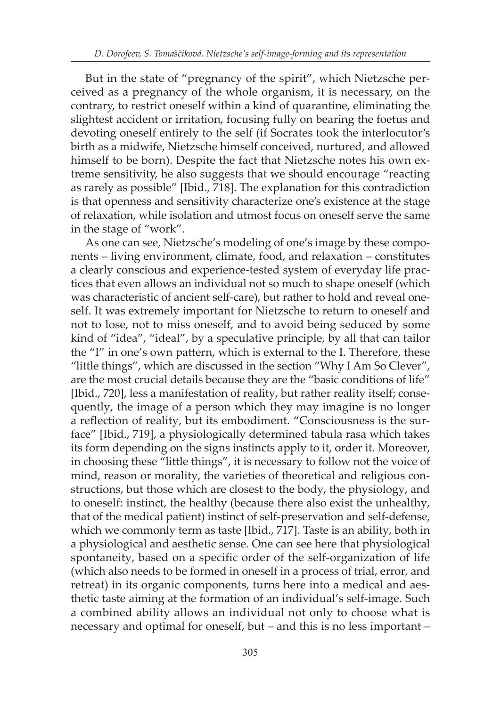But in the state of "pregnancy of the spirit", which Nietzsche perceived as a pregnancy of the whole organism, it is necessary, on the contrary, to restrict oneself within a kind of quarantine, eliminating the slightest accident or irritation, focusing fully on bearing the foetus and devoting oneself entirely to the self (if Socrates took the interlocutor's birth as a midwife, Nietzsche himself conceived, nurtured, and allowed himself to be born). Despite the fact that Nietzsche notes his own extreme sensitivity, he also suggests that we should encourage "reacting as rarely as possible" [Ibid., 718]. The explanation for this contradiction is that openness and sensitivity characterize one's existence at the stage of relaxation, while isolation and utmost focus on oneself serve the same in the stage of "work".

As one can see, Nietzsche's modeling of one's image by these components – living environment, climate, food, and relaxation – constitutes a clearly conscious and experience-tested system of everyday life practices that even allows an individual not so much to shape oneself (which was characteristic of ancient self-care), but rather to hold and reveal oneself. It was extremely important for Nietzsche to return to oneself and not to lose, not to miss oneself, and to avoid being seduced by some kind of "idea", "ideal", by a speculative principle, by all that can tailor the "I" in one's own pattern, which is external to the I. Therefore, these "little things", which are discussed in the section "Why I Am So Clever", are the most crucial details because they are the "basic conditions of life" [Ibid., 720], less a manifestation of reality, but rather reality itself; consequently, the image of a person which they may imagine is no longer a reflection of reality, but its embodiment. "Consciousness is the surface" [Ibid., 719], a physiologically determined tabula rasa which takes its form depending on the signs instincts apply to it, order it. Moreover, in choosing these "little things", it is necessary to follow not the voice of mind, reason or morality, the varieties of theoretical and religious constructions, but those which are closest to the body, the physiology, and to oneself: instinct, the healthy (because there also exist the unhealthy, that of the medical patient) instinct of self-preservation and self-defense, which we commonly term as taste [Ibid., 717]. Taste is an ability, both in a physiological and aesthetic sense. One can see here that physiological spontaneity, based on a specific order of the self-organization of life (which also needs to be formed in oneself in a process of trial, error, and retreat) in its organic components, turns here into a medical and aesthetic taste aiming at the formation of an individual's self-image. Such a combined ability allows an individual not only to choose what is necessary and optimal for oneself, but – and this is no less important –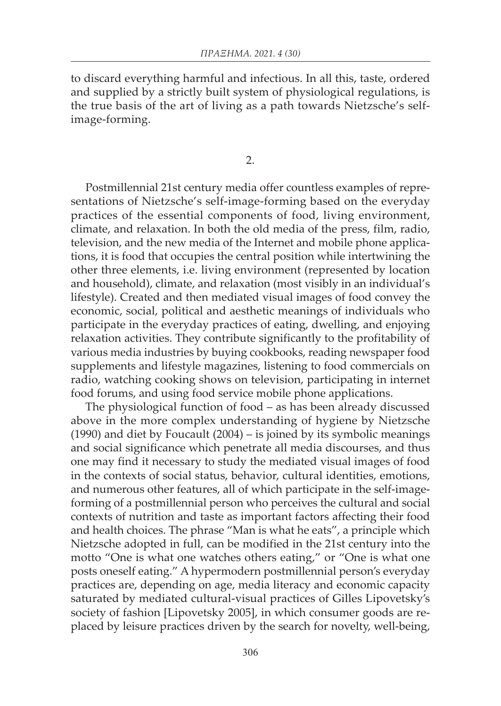to discard everything harmful and infectious. In all this, taste, ordered and supplied by a strictly built system of physiological regulations, is the true basis of the art of living as a path towards Nietzsche's selfimage-forming.

2.

Postmillennial 21st century media offer countless examples of representations of Nietzsche's self-image-forming based on the everyday practices of the essential components of food, living environment, climate, and relaxation. In both the old media of the press, film, radio, television, and the new media of the Internet and mobile phone applications, it is food that occupies the central position while intertwining the other three elements, i.e. living environment (represented by location and household), climate, and relaxation (most visibly in an individual's lifestyle). Created and then mediated visual images of food convey the economic, social, political and aesthetic meanings of individuals who participate in the everyday practices of eating, dwelling, and enjoying relaxation activities. They contribute significantly to the profitability of various media industries by buying cookbooks, reading newspaper food supplements and lifestyle magazines, listening to food commercials on radio, watching cooking shows on television, participating in internet food forums, and using food service mobile phone applications.

The physiological function of food – as has been already discussed above in the more complex understanding of hygiene by Nietzsche (1990) and diet by Foucault (2004) – is joined by its symbolic meanings and social significance which penetrate all media discourses, and thus one may find it necessary to study the mediated visual images of food in the contexts of social status, behavior, cultural identities, emotions, and numerous other features, all of which participate in the self-imageforming of a postmillennial person who perceives the cultural and social contexts of nutrition and taste as important factors affecting their food and health choices. The phrase "Man is what he eats", a principle which Nietzsche adopted in full, can be modified in the 21st century into the motto "One is what one watches others eating," or "One is what one posts oneself eating." A hypermodern postmillennial person's everyday practices are, depending on age, media literacy and economic capacity saturated by mediated cultural-visual practices of Gilles Lipovetsky's society of fashion [Lipovetsky 2005], in which consumer goods are replaced by leisure practices driven by the search for novelty, well-being,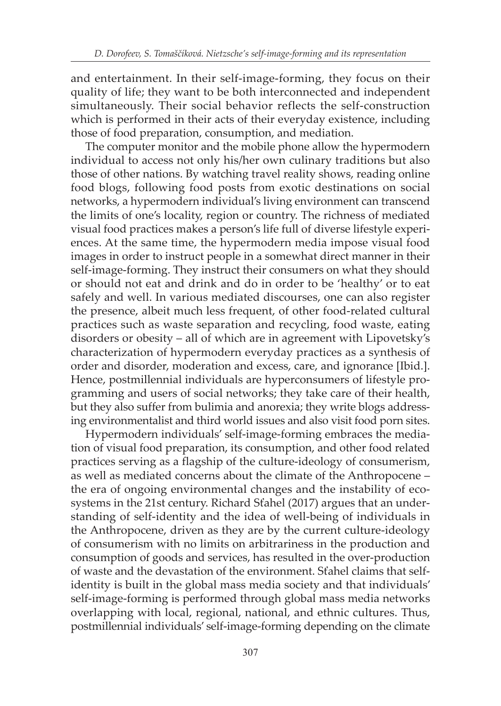and entertainment. In their self-image-forming, they focus on their quality of life; they want to be both interconnected and independent simultaneously. Their social behavior reflects the self-construction which is performed in their acts of their everyday existence, including those of food preparation, consumption, and mediation.

The computer monitor and the mobile phone allow the hypermodern individual to access not only his/her own culinary traditions but also those of other nations. By watching travel reality shows, reading online food blogs, following food posts from exotic destinations on social networks, a hypermodern individual's living environment can transcend the limits of one's locality, region or country. The richness of mediated visual food practices makes a person's life full of diverse lifestyle experiences. At the same time, the hypermodern media impose visual food images in order to instruct people in a somewhat direct manner in their self-image-forming. They instruct their consumers on what they should or should not eat and drink and do in order to be 'healthy' or to eat safely and well. In various mediated discourses, one can also register the presence, albeit much less frequent, of other food-related cultural practices such as waste separation and recycling, food waste, eating disorders or obesity – all of which are in agreement with Lipovetsky's characterization of hypermodern everyday practices as a synthesis of order and disorder, moderation and excess, care, and ignorance [Ibid.]. Hence, postmillennial individuals are hyperconsumers of lifestyle programming and users of social networks; they take care of their health, but they also suffer from bulimia and anorexia; they write blogs addressing environmentalist and third world issues and also visit food porn sites.

Hypermodern individuals' self-image-forming embraces the mediation of visual food preparation, its consumption, and other food related practices serving as a flagship of the culture-ideology of consumerism, as well as mediated concerns about the climate of the Anthropocene – the era of ongoing environmental changes and the instability of ecosystems in the 21st century. Richard Sťahel (2017) argues that an understanding of self-identity and the idea of well-being of individuals in the Anthropocene, driven as they are by the current culture-ideology of consumerism with no limits on arbitrariness in the production and consumption of goods and services, has resulted in the over-production of waste and the devastation of the environment. Sťahel claims that selfidentity is built in the global mass media society and that individuals' self-image-forming is performed through global mass media networks overlapping with local, regional, national, and ethnic cultures. Thus, postmillennial individuals' self-image-forming depending on the climate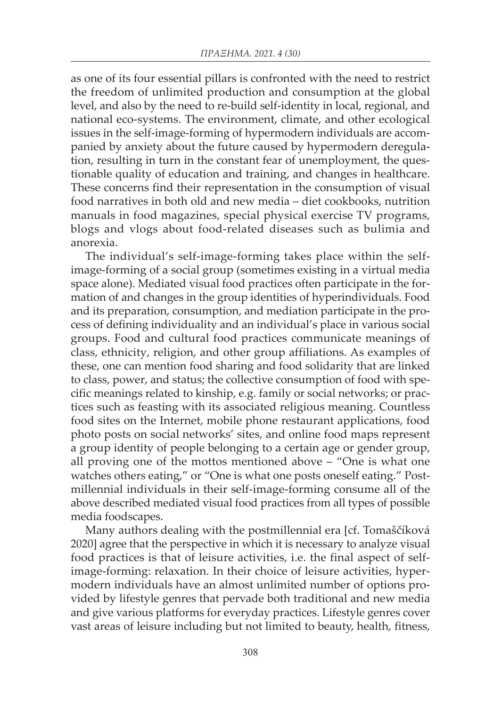as one of its four essential pillars is confronted with the need to restrict the freedom of unlimited production and consumption at the global level, and also by the need to re-build self-identity in local, regional, and national eco-systems. The environment, climate, and other ecological issues in the self-image-forming of hypermodern individuals are accompanied by anxiety about the future caused by hypermodern deregulation, resulting in turn in the constant fear of unemployment, the questionable quality of education and training, and changes in healthcare. These concerns find their representation in the consumption of visual food narratives in both old and new media – diet cookbooks, nutrition manuals in food magazines, special physical exercise TV programs, blogs and vlogs about food-related diseases such as bulimia and anorexia.

The individual's self-image-forming takes place within the selfimage-forming of a social group (sometimes existing in a virtual media space alone). Mediated visual food practices often participate in the formation of and changes in the group identities of hyperindividuals. Food and its preparation, consumption, and mediation participate in the process of defining individuality and an individual's place in various social groups. Food and cultural food practices communicate meanings of class, ethnicity, religion, and other group affiliations. As examples of these, one can mention food sharing and food solidarity that are linked to class, power, and status; the collective consumption of food with specific meanings related to kinship, e.g. family or social networks; or practices such as feasting with its associated religious meaning. Countless food sites on the Internet, mobile phone restaurant applications, food photo posts on social networks' sites, and online food maps represent a group identity of people belonging to a certain age or gender group, all proving one of the mottos mentioned above – "One is what one watches others eating," or "One is what one posts oneself eating." Postmillennial individuals in their self-image-forming consume all of the above described mediated visual food practices from all types of possible media foodscapes.

Many authors dealing with the postmillennial era [cf. Tomaščíková 2020] agree that the perspective in which it is necessary to analyze visual food practices is that of leisure activities, i.e. the final aspect of selfimage-forming: relaxation. In their choice of leisure activities, hypermodern individuals have an almost unlimited number of options provided by lifestyle genres that pervade both traditional and new media and give various platforms for everyday practices. Lifestyle genres cover vast areas of leisure including but not limited to beauty, health, fitness,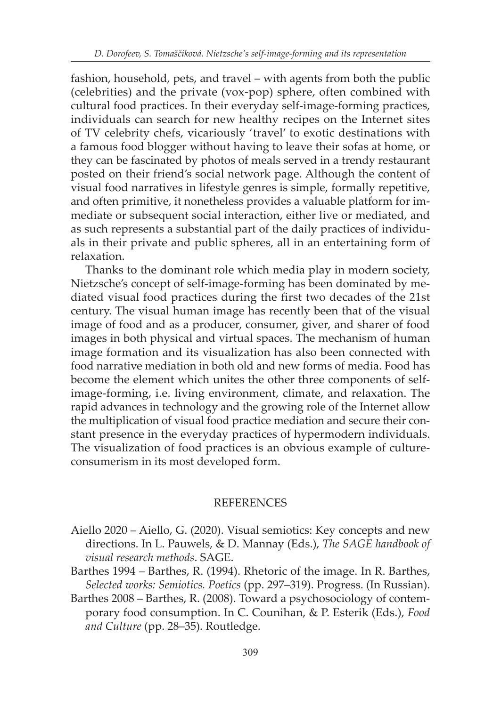fashion, household, pets, and travel – with agents from both the public (celebrities) and the private (vox-pop) sphere, often combined with cultural food practices. In their everyday self-image-forming practices, individuals can search for new healthy recipes on the Internet sites of TV celebrity chefs, vicariously 'travel' to exotic destinations with a famous food blogger without having to leave their sofas at home, or they can be fascinated by photos of meals served in a trendy restaurant posted on their friend's social network page. Although the content of visual food narratives in lifestyle genres is simple, formally repetitive, and often primitive, it nonetheless provides a valuable platform for immediate or subsequent social interaction, either live or mediated, and as such represents a substantial part of the daily practices of individuals in their private and public spheres, all in an entertaining form of relaxation.

Thanks to the dominant role which media play in modern society, Nietzsche's concept of self-image-forming has been dominated by mediated visual food practices during the first two decades of the 21st century. The visual human image has recently been that of the visual image of food and as a producer, consumer, giver, and sharer of food images in both physical and virtual spaces. The mechanism of human image formation and its visualization has also been connected with food narrative mediation in both old and new forms of media. Food has become the element which unites the other three components of selfimage-forming, i.e. living environment, climate, and relaxation. The rapid advances in technology and the growing role of the Internet allow the multiplication of visual food practice mediation and secure their constant presence in the everyday practices of hypermodern individuals. The visualization of food practices is an obvious example of cultureconsumerism in its most developed form.

## **REFERENCES**

- Aiello 2020 Aiello, G. (2020). Visual semiotics: Key concepts and new directions. In L. Pauwels, & D. Mannay (Eds.), *The SAGE handbook of visual research methods*. SAGE.
- Barthes 1994 Barthes, R. (1994). Rhetoric of the image. In R. Barthes, *Selected works: Semiotics. Poetics* (pp. 297–319). Progress. (In Russian).
- Barthes 2008 Barthes, R. (2008). Toward a psychosociology of contemporary food consumption. In C. Counihan, & P. Esterik (Eds.), *Food and Culture* (pp. 28–35). Routledge.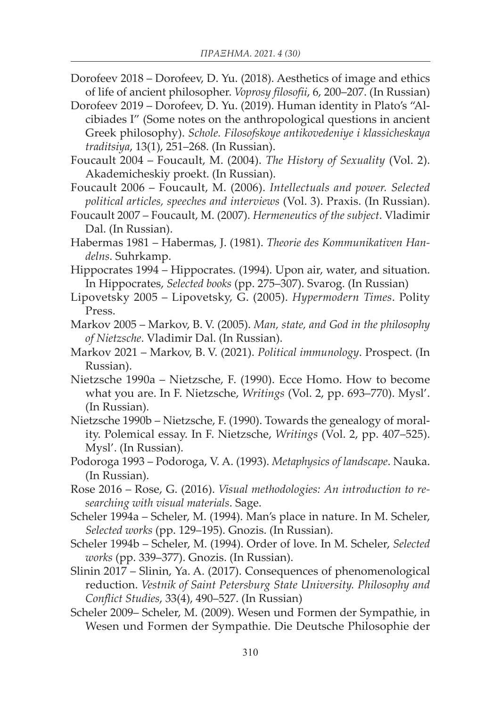- Dorofeev 2018 Dorofeev, D. Yu. (2018). Aesthetics of image and ethics of life of ancient philosopher. *Voprosy filosofii*, 6, 200–207. (In Russian)
- Dorofeev 2019 Dorofeev, D. Yu. (2019). Human identity in Plato's "Alcibiades I" (Some notes on the anthropological questions in ancient Greek philosophy). *Schole. Filosofskoye antikovedeniye i klassicheskaya traditsiya*, 13(1), 251–268. (In Russian).
- Foucault 2004 Foucault, M. (2004). *The History of Sexuality* (Vol. 2). Akademicheskiy proekt. (In Russian).
- Foucault 2006 Foucault, M. (2006). *Intellectuals and power. Selected political articles, speeches and interviews* (Vol. 3). Praxis. (In Russian).
- Foucault 2007 Foucault, M. (2007). *Hermeneutics of the subject*. Vladimir Dal. (In Russian).
- Habermas 1981 Habermas, J. (1981). *Theorie des Kommunikativen Handelns*. Suhrkamp.
- Hippocrates 1994 Hippocrates. (1994). Upon air, water, and situation. In Hippocrates, *Selected books* (pp. 275–307). Svarog. (In Russian)
- Lipovetsky 2005 Lipovetsky, G. (2005). *Hypermodern Times*. Polity Press.
- Markov 2005 Markov, B. V. (2005). *Man, state, and God in the philosophy of Nietzsche*. Vladimir Dal. (In Russian).
- Markov 2021 Markov, B. V. (2021). *Political immunology*. Prospect. (In Russian).
- Nietzsche 1990a Nietzsche, F. (1990). Ecce Homo. How to become what you are. In F. Nietzsche, *Writings* (Vol. 2, pp. 693–770). Mysl'. (In Russian).
- Nietzsche 1990b Nietzsche, F. (1990). Towards the genealogy of morality. Polemical essay. In F. Nietzsche, *Writings* (Vol. 2, pp. 407–525). Mysl'. (In Russian).
- Podoroga 1993 Podoroga, V. A. (1993). *Metaphysics of landscape*. Nauka. (In Russian).
- Rose 2016 Rose, G. (2016). *Visual methodologies: An introduction to researching with visual materials*. Sage.
- Scheler 1994a Scheler, M. (1994). Man's place in nature. In M. Scheler, *Selected works* (pp. 129–195). Gnozis. (In Russian).
- Scheler 1994b Scheler, M. (1994). Order of love. In M. Scheler, *Selected works* (pp. 339–377). Gnozis. (In Russian).
- Slinin 2017 Slinin, Ya. A. (2017). Consequences of phenomenological reduction. *Vestnik of Saint Petersburg State University. Philosophy and Conflict Studies*, 33(4), 490–527. (In Russian)
- Scheler 2009– Scheler, M. (2009). Wesen und Formen der Sympathie, in Wesen und Formen der Sympathie. Die Deutsche Philosophie der